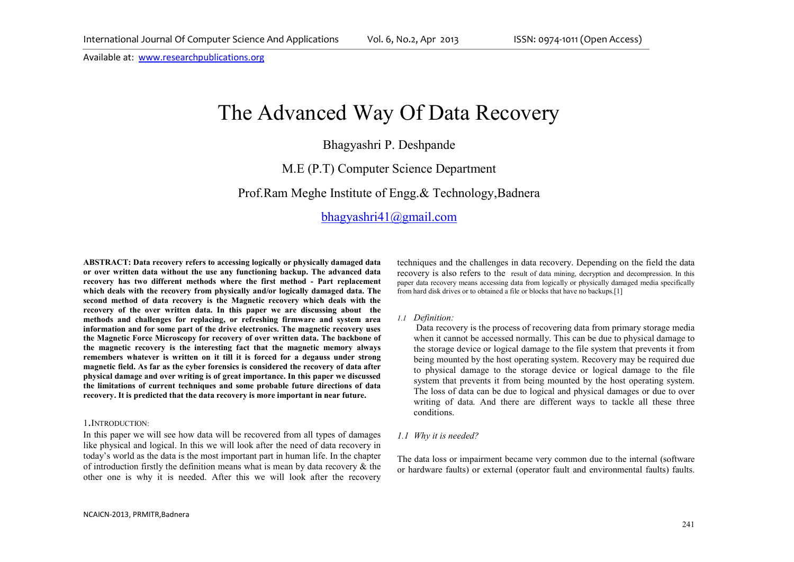# The Advanced Way Of Data Recovery

# Bhagyashri P. Deshpande

## M.E (P.T) Computer Science Department

# Prof.Ram Meghe Institute of Engg.& Technology,Badnera

# bhagyashri41@gmail.com

**ABSTRACT: Data recovery refers to accessing logically or physically damaged data or over written data without the use any functioning backup. The advanced data recovery has two different methods where the first method - Part replacement which deals with the recovery from physically and/or logically damaged data. The second method of data recovery is the Magnetic recovery which deals with the recovery of the over written data. In this paper we are discussing about the methods and challenges for replacing, or refreshing firmware and system area information and for some part of the drive electronics. The magnetic recovery uses the Magnetic Force Microscopy for recovery of over written data. The backbone of the magnetic recovery is the interesting fact that the magnetic memory always remembers whatever is written on it till it is forced for a degauss under strong magnetic field. As far as the cyber forensics is considered the recovery of data after physical damage and over writing is of great importance. In this paper we discussed the limitations of current techniques and some probable future directions of data recovery. It is predicted that the data recovery is more important in near future.** 

#### 1.INTRODUCTION:

In this paper we will see how data will be recovered from all types of damages like physical and logical. In this we will look after the need of data recovery in today's world as the data is the most important part in human life. In the chapter of introduction firstly the definition means what is mean by data recovery  $\&$  the other one is why it is needed. After this we will look after the recovery

techniques and the challenges in data recovery. Depending on the field the data recovery is also refers to the result of data mining, decryption and decompression. In this paper data recovery means accessing data from logically or physically damaged media specifically from hard disk drives or to obtained a file or blocks that have no backups.[1]

#### *1.1 Definition:*

Data recovery is the process of recovering data from primary storage media when it cannot be accessed normally. This can be due to physical damage to the storage device or logical damage to the file system that prevents it from being mounted by the host operating system. Recovery may be required due to physical damage to the storage device or logical damage to the file system that prevents it from being mounted by the host operating system. The loss of data can be due to logical and physical damages or due to over writing of data. And there are different ways to tackle all these three conditions.

## *1.1 Why it is needed?*

The data loss or impairment became very common due to the internal (software or hardware faults) or external (operator fault and environmental faults) faults.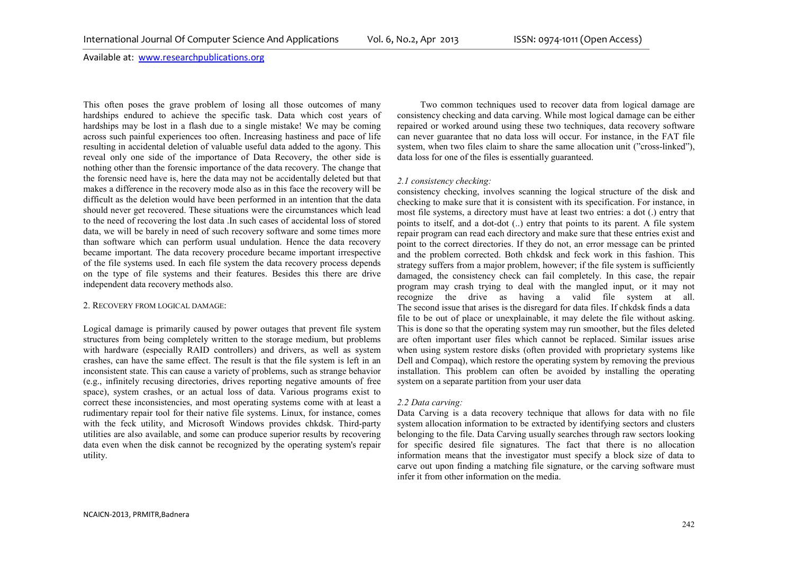This often poses the grave problem of losing all those outcomes of many hardships endured to achieve the specific task. Data which cost years of hardships may be lost in a flash due to a single mistake! We may be coming across such painful experiences too often. Increasing hastiness and pace of life resulting in accidental deletion of valuable useful data added to the agony. This reveal only one side of the importance of Data Recovery, the other side is nothing other than the forensic importance of the data recovery. The change that the forensic need have is, here the data may not be accidentally deleted but that makes a difference in the recovery mode also as in this face the recovery will be difficult as the deletion would have been performed in an intention that the data should never get recovered. These situations were the circumstances which lead to the need of recovering the lost data .In such cases of accidental loss of stored data, we will be barely in need of such recovery software and some times more than software which can perform usual undulation. Hence the data recovery became important. The data recovery procedure became important irrespective of the file systems used. In each file system the data recovery process depends on the type of file systems and their features. Besides this there are drive independent data recovery methods also.

#### 2. RECOVERY FROM LOGICAL DAMAGE:

Logical damage is primarily caused by power outages that prevent file system structures from being completely written to the storage medium, but problems with hardware (especially RAID controllers) and drivers, as well as system crashes, can have the same effect. The result is that the file system is left in an inconsistent state. This can cause a variety of problems, such as strange behavior (e.g., infinitely recusing directories, drives reporting negative amounts of free space), system crashes, or an actual loss of data. Various programs exist to correct these inconsistencies, and most operating systems come with at least a rudimentary repair tool for their native file systems. Linux, for instance, comes with the feck utility, and Microsoft Windows provides chkdsk. Third-party utilities are also available, and some can produce superior results by recovering data even when the disk cannot be recognized by the operating system's repair utility.

 Two common techniques used to recover data from logical damage are consistency checking and data carving. While most logical damage can be either repaired or worked around using these two techniques, data recovery software can never guarantee that no data loss will occur. For instance, in the FAT file system, when two files claim to share the same allocation unit ("cross-linked"), data loss for one of the files is essentially guaranteed.

#### *2.1 consistency checking:*

 consistency checking, involves scanning the logical structure of the disk and checking to make sure that it is consistent with its specification. For instance, in most file systems, a directory must have at least two entries: a dot (.) entry that points to itself, and a dot-dot (..) entry that points to its parent. A file system repair program can read each directory and make sure that these entries exist and point to the correct directories. If they do not, an error message can be printed and the problem corrected. Both chkdsk and feck work in this fashion. This strategy suffers from a major problem, however; if the file system is sufficiently damaged, the consistency check can fail completely. In this case, the repair program may crash trying to deal with the mangled input, or it may not recognize the drive as having a valid file system at all. The second issue that arises is the disregard for data files. If chkdsk finds a data file to be out of place or unexplainable, it may delete the file without asking. This is done so that the operating system may run smoother, but the files deleted are often important user files which cannot be replaced. Similar issues arise when using system restore disks (often provided with proprietary systems like Dell and Compaq), which restore the operating system by removing the previous installation. This problem can often be avoided by installing the operating system on a separate partition from your user data

#### *2.2 Data carving:*

 Data Carving is a data recovery technique that allows for data with no file system allocation information to be extracted by identifying sectors and clusters belonging to the file. Data Carving usually searches through raw sectors looking for specific desired file signatures. The fact that there is no allocation information means that the investigator must specify a block size of data to carve out upon finding a matching file signature, or the carving software must infer it from other information on the media.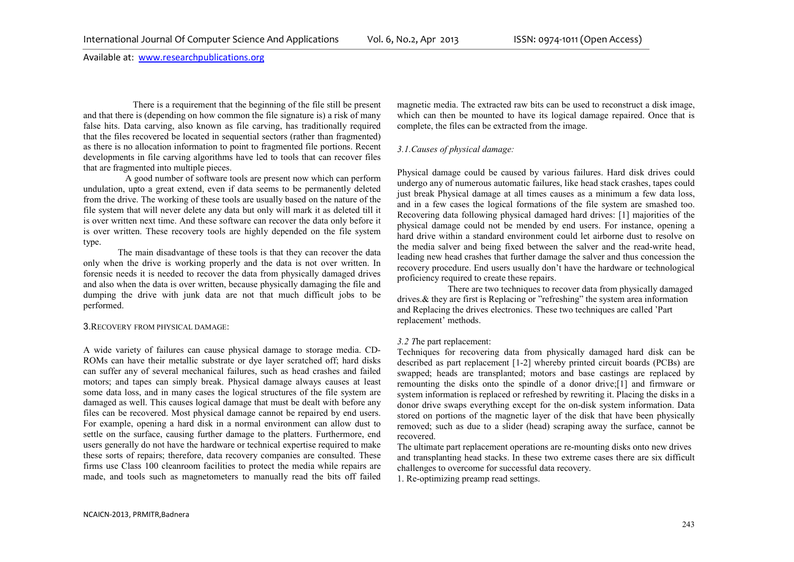There is a requirement that the beginning of the file still be present and that there is (depending on how common the file signature is) a risk of many false hits. Data carving, also known as file carving, has traditionally required that the files recovered be located in sequential sectors (rather than fragmented) as there is no allocation information to point to fragmented file portions. Recent developments in file carving algorithms have led to tools that can recover files that are fragmented into multiple pieces.

 A good number of software tools are present now which can perform undulation, upto a great extend, even if data seems to be permanently deleted from the drive. The working of these tools are usually based on the nature of the file system that will never delete any data but only will mark it as deleted till it is over written next time. And these software can recover the data only before it is over written. These recovery tools are highly depended on the file system type.

 The main disadvantage of these tools is that they can recover the data only when the drive is working properly and the data is not over written. In forensic needs it is needed to recover the data from physically damaged drives and also when the data is over written, because physically damaging the file and dumping the drive with junk data are not that much difficult jobs to be performed.

## 3.RECOVERY FROM PHYSICAL DAMAGE:

A wide variety of failures can cause physical damage to storage media. CD-ROMs can have their metallic substrate or dye layer scratched off; hard disks can suffer any of several mechanical failures, such as head crashes and failed motors; and tapes can simply break. Physical damage always causes at least some data loss, and in many cases the logical structures of the file system are damaged as well. This causes logical damage that must be dealt with before any files can be recovered. Most physical damage cannot be repaired by end users. For example, opening a hard disk in a normal environment can allow dust to settle on the surface, causing further damage to the platters. Furthermore, end users generally do not have the hardware or technical expertise required to make these sorts of repairs; therefore, data recovery companies are consulted. These firms use Class 100 cleanroom facilities to protect the media while repairs are made, and tools such as magnetometers to manually read the bits off failed

magnetic media. The extracted raw bits can be used to reconstruct a disk image, which can then be mounted to have its logical damage repaired. Once that is complete, the files can be extracted from the image.

#### *3.1.Causes of physical damage:*

Physical damage could be caused by various failures. Hard disk drives could undergo any of numerous automatic failures, like head stack crashes, tapes could just break Physical damage at all times causes as a minimum a few data loss, and in a few cases the logical formations of the file system are smashed too. Recovering data following physical damaged hard drives: [1] majorities of the physical damage could not be mended by end users. For instance, opening a hard drive within a standard environment could let airborne dust to resolve on the media salver and being fixed between the salver and the read-write head, leading new head crashes that further damage the salver and thus concession the recovery procedure. End users usually don't have the hardware or technological proficiency required to create these repairs.

 There are two techniques to recover data from physically damaged drives.& they are first is Replacing or "refreshing" the system area information and Replacing the drives electronics. These two techniques are called 'Part replacement' methods.

#### *3.2 T*he part replacement:

Techniques for recovering data from physically damaged hard disk can be described as part replacement [1-2] whereby printed circuit boards (PCBs) are swapped; heads are transplanted; motors and base castings are replaced by remounting the disks onto the spindle of a donor drive;[1] and firmware or system information is replaced or refreshed by rewriting it. Placing the disks in a donor drive swaps everything except for the on-disk system information. Data stored on portions of the magnetic layer of the disk that have been physically removed; such as due to a slider (head) scraping away the surface, cannot be recovered.

 The ultimate part replacement operations are re-mounting disks onto new drives and transplanting head stacks. In these two extreme cases there are six difficult challenges to overcome for successful data recovery.

1. Re-optimizing preamp read settings.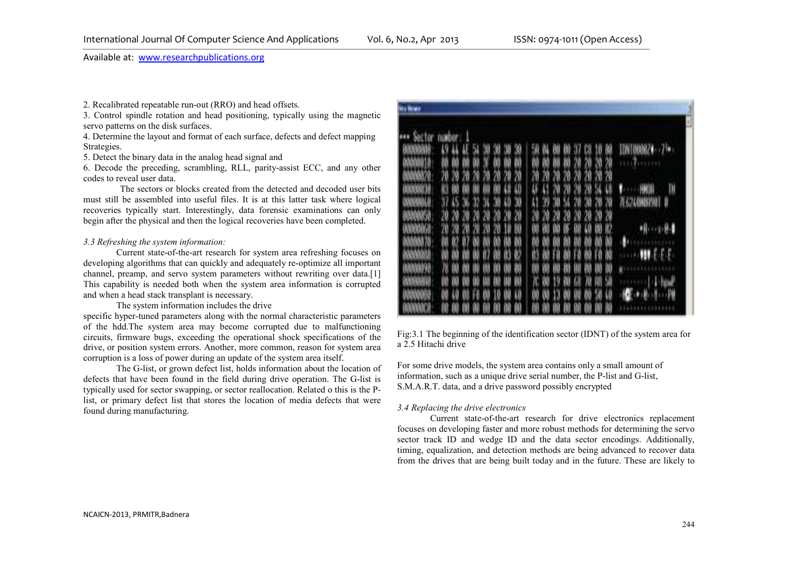2. Recalibrated repeatable run-out (RRO) and head offsets.

 3. Control spindle rotation and head positioning, typically using the magnetic servo patterns on the disk surfaces.

 4. Determine the layout and format of each surface, defects and defect mapping Strategies.

5. Detect the binary data in the analog head signal and

 6. Decode the preceding, scrambling, RLL, parity-assist ECC, and any other codes to reveal user data.

 The sectors or blocks created from the detected and decoded user bits must still be assembled into useful files. It is at this latter task where logical recoveries typically start. Interestingly, data forensic examinations can only begin after the physical and then the logical recoveries have been completed.

#### *3.3 Refreshing the system information:*

 Current state-of-the-art research for system area refreshing focuses on developing algorithms that can quickly and adequately re-optimize all important channel, preamp, and servo system parameters without rewriting over data.[1] This capability is needed both when the system area information is corrupted and when a head stack transplant is necessary.

The system information includes the drive

 specific hyper-tuned parameters along with the normal characteristic parameters of the hdd.The system area may become corrupted due to malfunctioning circuits, firmware bugs, exceeding the operational shock specifications of the drive, or position system errors. Another, more common, reason for system area corruption is a loss of power during an update of the system area itself.

 The G-list, or grown defect list, holds information about the location of defects that have been found in the field during drive operation. The G-list is typically used for sector swapping, or sector reallocation. Related o this is the Plist, or primary defect list that stores the location of media defects that were found during manufacturing.



Fig:3.1 The beginning of the identification sector (IDNT) of the system area for a 2.5 Hitachi drive

For some drive models, the system area contains only a small amount of information, such as a unique drive serial number, the P-list and G-list, S.M.A.R.T. data, and a drive password possibly encrypted

## *3.4 Replacing the drive electronics*

Current state-of-the-art research for drive electronics replacement focuses on developing faster and more robust methods for determining the servo sector track ID and wedge ID and the data sector encodings. Additionally, timing, equalization, and detection methods are being advanced to recover data from the drives that are being built today and in the future. These are likely to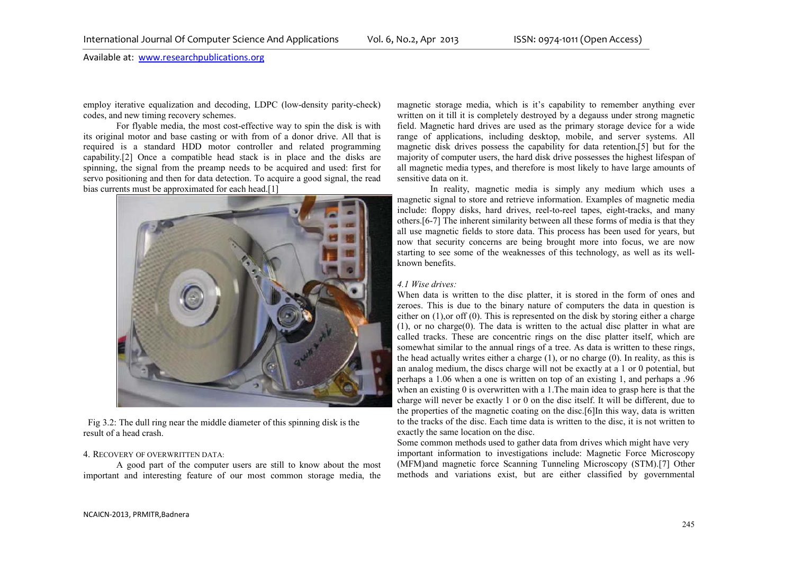employ iterative equalization and decoding, LDPC (low-density parity-check) codes, and new timing recovery schemes.

 For flyable media, the most cost-effective way to spin the disk is with its original motor and base casting or with from of a donor drive. All that is required is a standard HDD motor controller and related programming capability.[2] Once a compatible head stack is in place and the disks are spinning, the signal from the preamp needs to be acquired and used: first for servo positioning and then for data detection. To acquire a good signal, the read bias currents must be approximated for each head.[1]



Fig 3.2: The dull ring near the middle diameter of this spinning disk is the result of a head crash.

## 4. RECOVERY OF OVERWRITTEN DATA:

A good part of the computer users are still to know about the most important and interesting feature of our most common storage media, the magnetic storage media, which is it's capability to remember anything ever written on it till it is completely destroyed by a degauss under strong magnetic field. Magnetic hard drives are used as the primary storage device for a wide range of applications, including desktop, mobile, and server systems. All magnetic disk drives possess the capability for data retention,[5] but for the majority of computer users, the hard disk drive possesses the highest lifespan of all magnetic media types, and therefore is most likely to have large amounts of sensitive data on it.

In reality, magnetic media is simply any medium which uses a magnetic signal to store and retrieve information. Examples of magnetic media include: floppy disks, hard drives, reel-to-reel tapes, eight-tracks, and many others.[6-7] The inherent similarity between all these forms of media is that they all use magnetic fields to store data. This process has been used for years, but now that security concerns are being brought more into focus, we are now starting to see some of the weaknesses of this technology, as well as its wellknown benefits.

#### *4.1 Wise drives:*

When data is written to the disc platter, it is stored in the form of ones and zeroes. This is due to the binary nature of computers the data in question is either on (1),or off (0). This is represented on the disk by storing either a charge (1), or no charge(0). The data is written to the actual disc platter in what are called tracks. These are concentric rings on the disc platter itself, which are somewhat similar to the annual rings of a tree. As data is written to these rings, the head actually writes either a charge (1), or no charge (0). In reality, as this is an analog medium, the discs charge will not be exactly at a 1 or 0 potential, but perhaps a 1.06 when a one is written on top of an existing 1, and perhaps a .96 when an existing 0 is overwritten with a 1. The main idea to grasp here is that the charge will never be exactly 1 or 0 on the disc itself. It will be different, due to the properties of the magnetic coating on the disc.[6]In this way, data is written to the tracks of the disc. Each time data is written to the disc, it is not written to exactly the same location on the disc.

 Some common methods used to gather data from drives which might have very important information to investigations include: Magnetic Force Microscopy (MFM)and magnetic force Scanning Tunneling Microscopy (STM).[7] Other methods and variations exist, but are either classified by governmental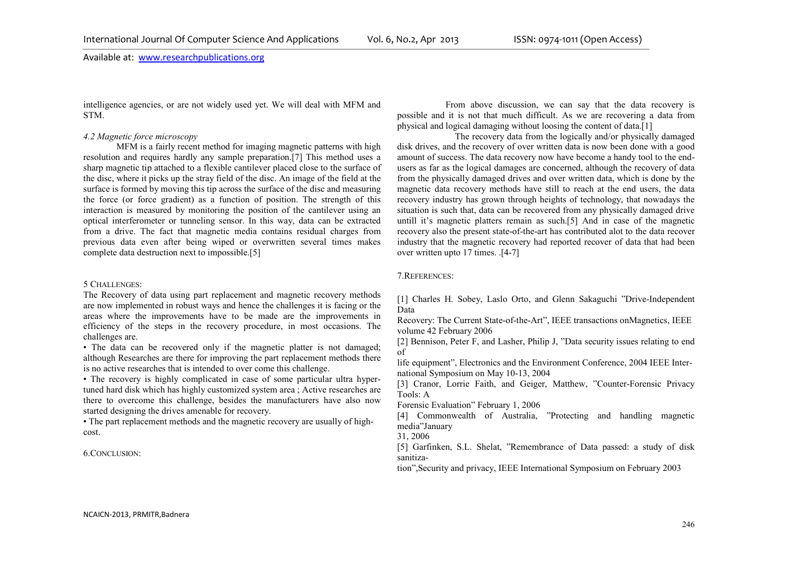intelligence agencies, or are not widely used yet. We will deal with MFM and STM.

#### *4.2 Magnetic force microscopy*

 MFM is a fairly recent method for imaging magnetic patterns with high resolution and requires hardly any sample preparation.[7] This method uses a sharp magnetic tip attached to a flexible cantilever placed close to the surface of the disc, where it picks up the stray field of the disc. An image of the field at the surface is formed by moving this tip across the surface of the disc and measuring the force (or force gradient) as a function of position. The strength of this interaction is measured by monitoring the position of the cantilever using an optical interferometer or tunneling sensor. In this way, data can be extracted from a drive. The fact that magnetic media contains residual charges from previous data even after being wiped or overwritten several times makes complete data destruction next to impossible.[5]

#### 5 CHALLENGES:

The Recovery of data using part replacement and magnetic recovery methods are now implemented in robust ways and hence the challenges it is facing or the areas where the improvements have to be made are the improvements in efficiency of the steps in the recovery procedure, in most occasions. The challenges are.

 • The data can be recovered only if the magnetic platter is not damaged; although Researches are there for improving the part replacement methods there is no active researches that is intended to over come this challenge.

 • The recovery is highly complicated in case of some particular ultra hypertuned hard disk which has highly customized system area ; Active researches are there to overcome this challenge, besides the manufacturers have also now started designing the drives amenable for recovery.

 • The part replacement methods and the magnetic recovery are usually of highcost.

6.CONCLUSION:

 From above discussion, we can say that the data recovery is possible and it is not that much difficult. As we are recovering a data from physical and logical damaging without loosing the content of data.[1]

 The recovery data from the logically and/or physically damaged disk drives, and the recovery of over written data is now been done with a good amount of success. The data recovery now have become a handy tool to the endusers as far as the logical damages are concerned, although the recovery of data from the physically damaged drives and over written data, which is done by the magnetic data recovery methods have still to reach at the end users, the data recovery industry has grown through heights of technology, that nowadays the situation is such that, data can be recovered from any physically damaged drive untill it's magnetic platters remain as such.[5] And in case of the magnetic recovery also the present state-of-the-art has contributed alot to the data recover industry that the magnetic recovery had reported recover of data that had been over written upto 17 times. .[4-7]

#### 7.REFERENCES:

[1] Charles H. Sobey, Laslo Orto, and Glenn Sakaguchi "Drive-Independent Data

 Recovery: The Current State-of-the-Art", IEEE transactions onMagnetics, IEEE volume 42 February 2006

[2] Bennison, Peter F, and Lasher, Philip J, "Data security issues relating to end of

 life equipment", Electronics and the Environment Conference, 2004 IEEE International Symposium on May 10-13, 2004

[3] Cranor, Lorrie Faith, and Geiger, Matthew, "Counter-Forensic Privacy Tools: A

Forensic Evaluation" February 1, 2006

 [4] Commonwealth of Australia, "Protecting and handling magnetic media"January

31, 2006

 [5] Garfinken, S.L. Shelat, "Remembrance of Data passed: a study of disk sanitiza-

tion",Security and privacy, IEEE International Symposium on February 2003